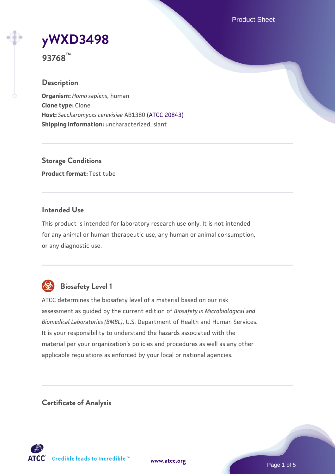Product Sheet

# **[yWXD3498](https://www.atcc.org/products/93768)**

**93768™**

## **Description**

**Organism:** *Homo sapiens*, human **Clone type:** Clone **Host:** *Saccharomyces cerevisiae* AB1380 [\(ATCC 20843\)](https://www.atcc.org/products/20843) **Shipping information:** uncharacterized, slant

**Storage Conditions Product format:** Test tube

## **Intended Use**

This product is intended for laboratory research use only. It is not intended for any animal or human therapeutic use, any human or animal consumption, or any diagnostic use.



# **Biosafety Level 1**

ATCC determines the biosafety level of a material based on our risk assessment as guided by the current edition of *Biosafety in Microbiological and Biomedical Laboratories (BMBL)*, U.S. Department of Health and Human Services. It is your responsibility to understand the hazards associated with the material per your organization's policies and procedures as well as any other applicable regulations as enforced by your local or national agencies.

**Certificate of Analysis**

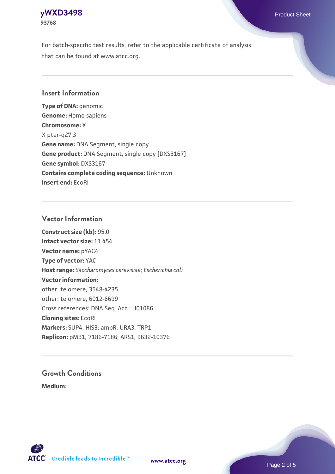## **[yWXD3498](https://www.atcc.org/products/93768)** Product Sheet **93768**

For batch-specific test results, refer to the applicable certificate of analysis that can be found at www.atcc.org.

## **Insert Information**

**Type of DNA:** genomic **Genome:** Homo sapiens **Chromosome:** X X pter-q27.3 **Gene name:** DNA Segment, single copy **Gene product:** DNA Segment, single copy [DXS3167] **Gene symbol:** DXS3167 **Contains complete coding sequence:** Unknown **Insert end:** EcoRI

## **Vector Information**

**Construct size (kb):** 95.0 **Intact vector size:** 11.454 **Vector name:** pYAC4 **Type of vector:** YAC **Host range:** *Saccharomyces cerevisiae*; *Escherichia coli* **Vector information:** other: telomere, 3548-4235 other: telomere, 6012-6699 Cross references: DNA Seq. Acc.: U01086 **Cloning sites:** EcoRI **Markers:** SUP4; HIS3; ampR; URA3; TRP1 **Replicon:** pMB1, 7186-7186; ARS1, 9632-10376

# **Growth Conditions**

**Medium:** 



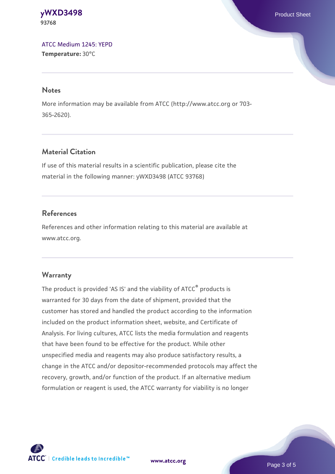#### **[yWXD3498](https://www.atcc.org/products/93768)** Product Sheet **93768**

[ATCC Medium 1245: YEPD](https://www.atcc.org/-/media/product-assets/documents/microbial-media-formulations/1/2/4/5/atcc-medium-1245.pdf?rev=705ca55d1b6f490a808a965d5c072196) **Temperature:** 30°C

#### **Notes**

More information may be available from ATCC (http://www.atcc.org or 703- 365-2620).

## **Material Citation**

If use of this material results in a scientific publication, please cite the material in the following manner: yWXD3498 (ATCC 93768)

## **References**

References and other information relating to this material are available at www.atcc.org.

## **Warranty**

The product is provided 'AS IS' and the viability of ATCC® products is warranted for 30 days from the date of shipment, provided that the customer has stored and handled the product according to the information included on the product information sheet, website, and Certificate of Analysis. For living cultures, ATCC lists the media formulation and reagents that have been found to be effective for the product. While other unspecified media and reagents may also produce satisfactory results, a change in the ATCC and/or depositor-recommended protocols may affect the recovery, growth, and/or function of the product. If an alternative medium formulation or reagent is used, the ATCC warranty for viability is no longer



**[www.atcc.org](http://www.atcc.org)**

Page 3 of 5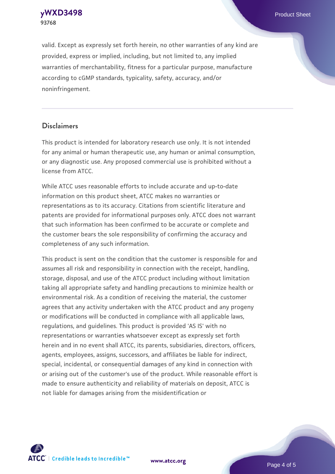**[yWXD3498](https://www.atcc.org/products/93768)** Product Sheet **93768**

valid. Except as expressly set forth herein, no other warranties of any kind are provided, express or implied, including, but not limited to, any implied warranties of merchantability, fitness for a particular purpose, manufacture according to cGMP standards, typicality, safety, accuracy, and/or noninfringement.

#### **Disclaimers**

This product is intended for laboratory research use only. It is not intended for any animal or human therapeutic use, any human or animal consumption, or any diagnostic use. Any proposed commercial use is prohibited without a license from ATCC.

While ATCC uses reasonable efforts to include accurate and up-to-date information on this product sheet, ATCC makes no warranties or representations as to its accuracy. Citations from scientific literature and patents are provided for informational purposes only. ATCC does not warrant that such information has been confirmed to be accurate or complete and the customer bears the sole responsibility of confirming the accuracy and completeness of any such information.

This product is sent on the condition that the customer is responsible for and assumes all risk and responsibility in connection with the receipt, handling, storage, disposal, and use of the ATCC product including without limitation taking all appropriate safety and handling precautions to minimize health or environmental risk. As a condition of receiving the material, the customer agrees that any activity undertaken with the ATCC product and any progeny or modifications will be conducted in compliance with all applicable laws, regulations, and guidelines. This product is provided 'AS IS' with no representations or warranties whatsoever except as expressly set forth herein and in no event shall ATCC, its parents, subsidiaries, directors, officers, agents, employees, assigns, successors, and affiliates be liable for indirect, special, incidental, or consequential damages of any kind in connection with or arising out of the customer's use of the product. While reasonable effort is made to ensure authenticity and reliability of materials on deposit, ATCC is not liable for damages arising from the misidentification or



**[www.atcc.org](http://www.atcc.org)**

Page 4 of 5